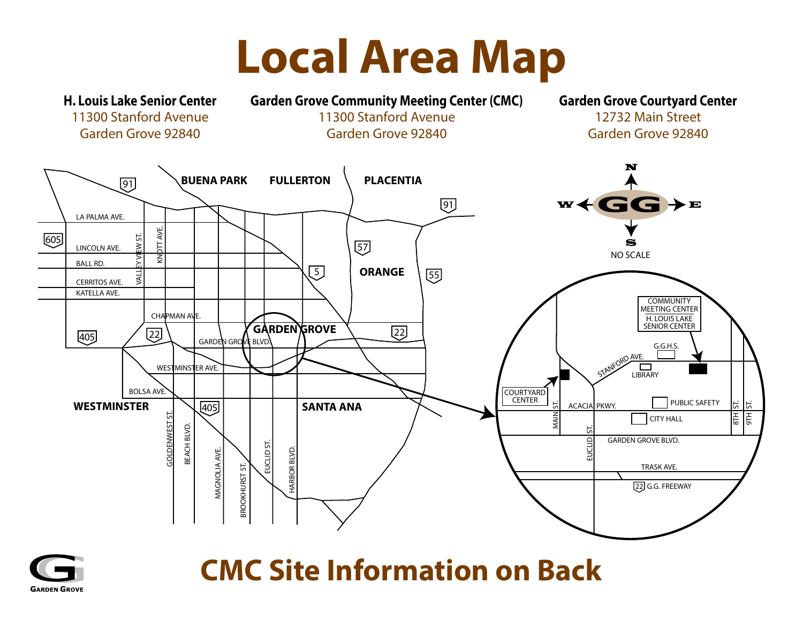## **Local Area Map**





## **CMC Site Information on Back**